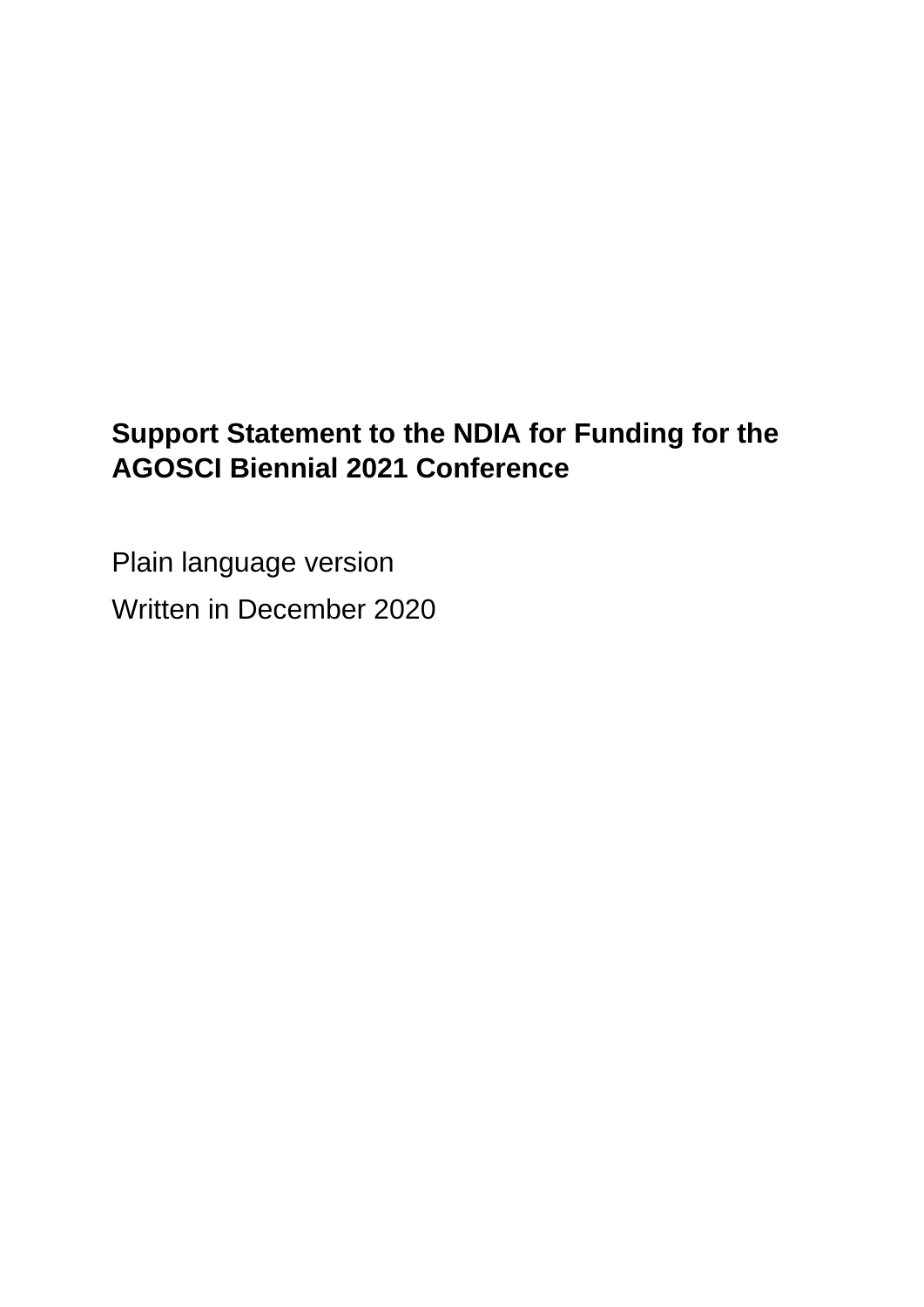# **Support Statement to the NDIA for Funding for the AGOSCI Biennial 2021 Conference**

Plain language version Written in December 2020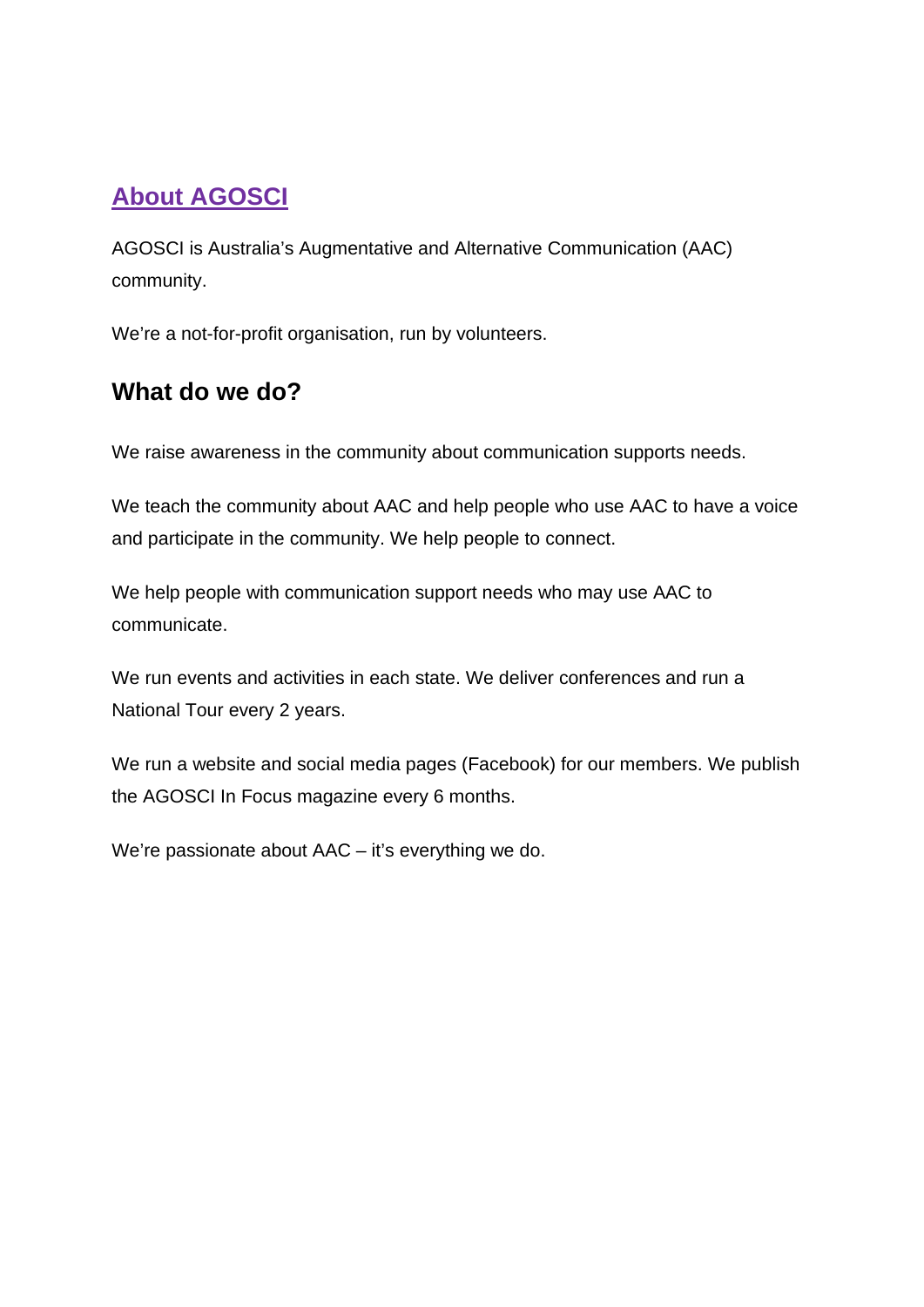# **About AGOSCI**

AGOSCI is Australia's Augmentative and Alternative Communication (AAC) community.

We're a not-for-profit organisation, run by volunteers.

#### **What do we do?**

We raise awareness in the community about communication supports needs.

We teach the community about AAC and help people who use AAC to have a voice and participate in the community. We help people to connect.

We help people with communication support needs who may use AAC to communicate.

We run events and activities in each state. We deliver conferences and run a National Tour every 2 years.

We run a website and social media pages (Facebook) for our members. We publish the AGOSCI In Focus magazine every 6 months.

We're passionate about AAC – it's everything we do.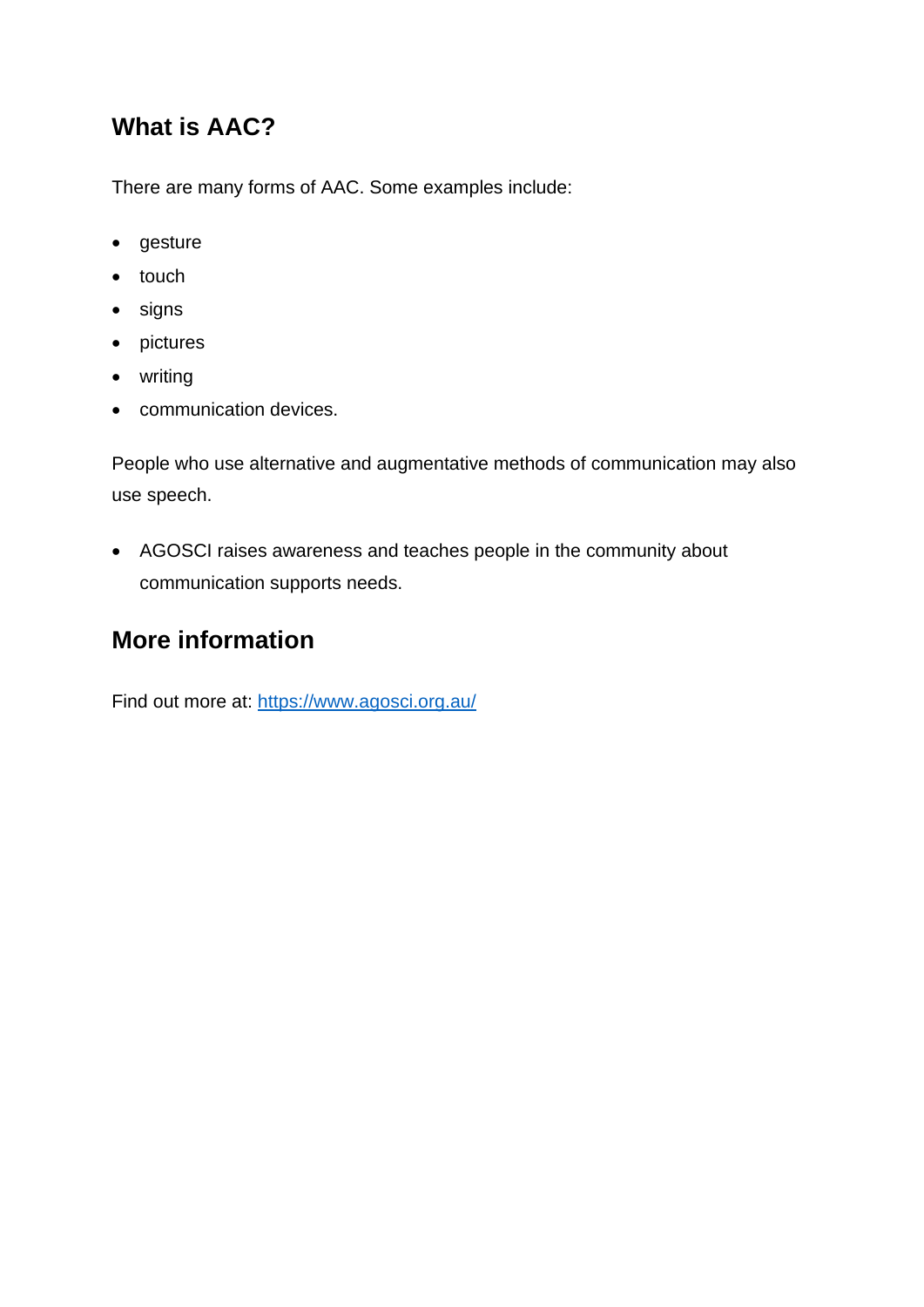### **What is AAC?**

There are many forms of AAC. Some examples include:

- gesture
- touch
- signs
- pictures
- writing
- communication devices.

People who use alternative and augmentative methods of communication may also use speech.

• AGOSCI raises awareness and teaches people in the community about communication supports needs.

#### **More information**

Find out more at:<https://www.agosci.org.au/>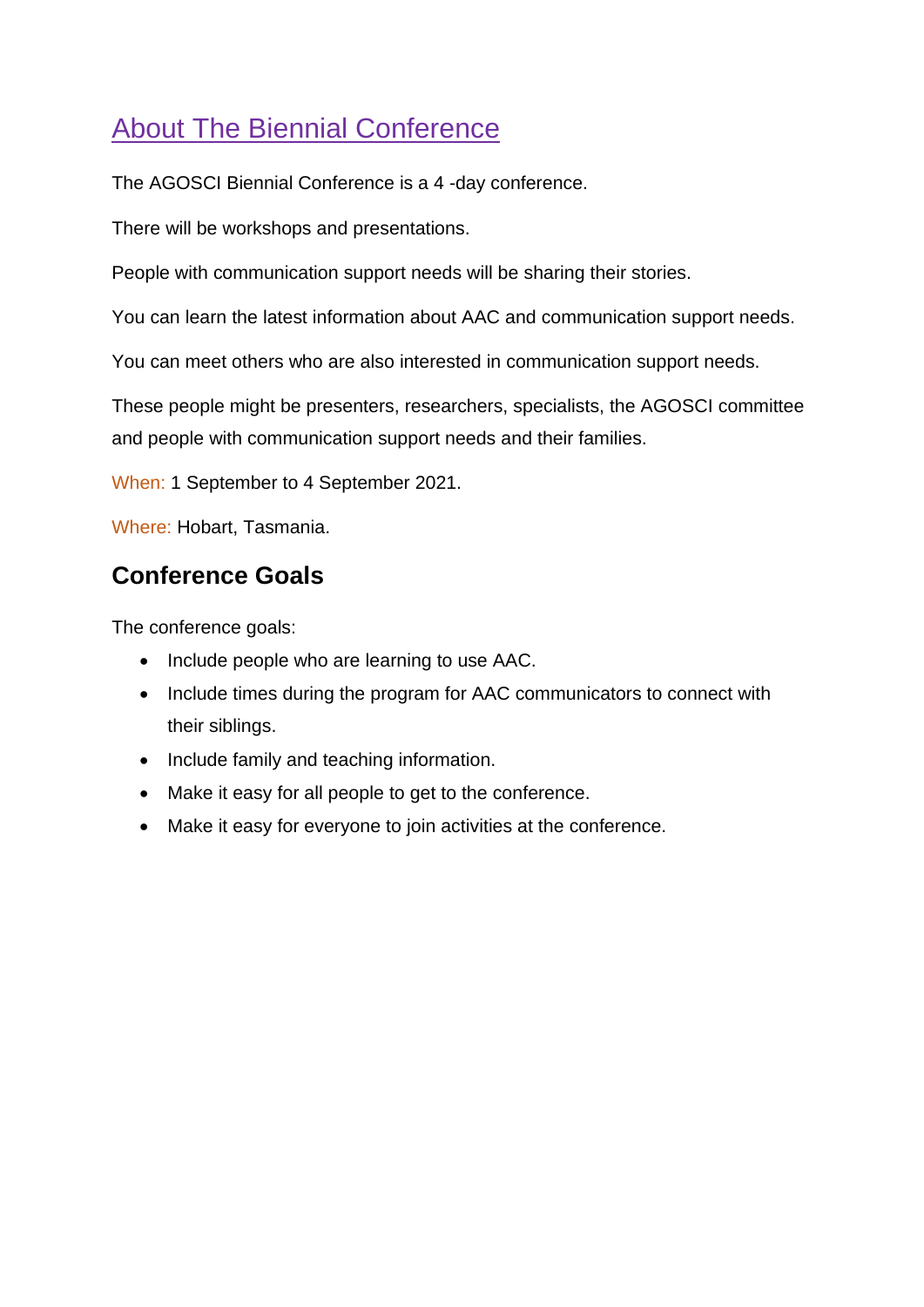# **About The Biennial Conference**

The AGOSCI Biennial Conference is a 4 -day conference.

There will be workshops and presentations.

People with communication support needs will be sharing their stories.

You can learn the latest information about AAC and communication support needs.

You can meet others who are also interested in communication support needs.

These people might be presenters, researchers, specialists, the AGOSCI committee and people with communication support needs and their families.

When: 1 September to 4 September 2021.

Where: Hobart, Tasmania.

### **Conference Goals**

The conference goals:

- Include people who are learning to use AAC.
- Include times during the program for AAC communicators to connect with their siblings.
- Include family and teaching information.
- Make it easy for all people to get to the conference.
- Make it easy for everyone to join activities at the conference.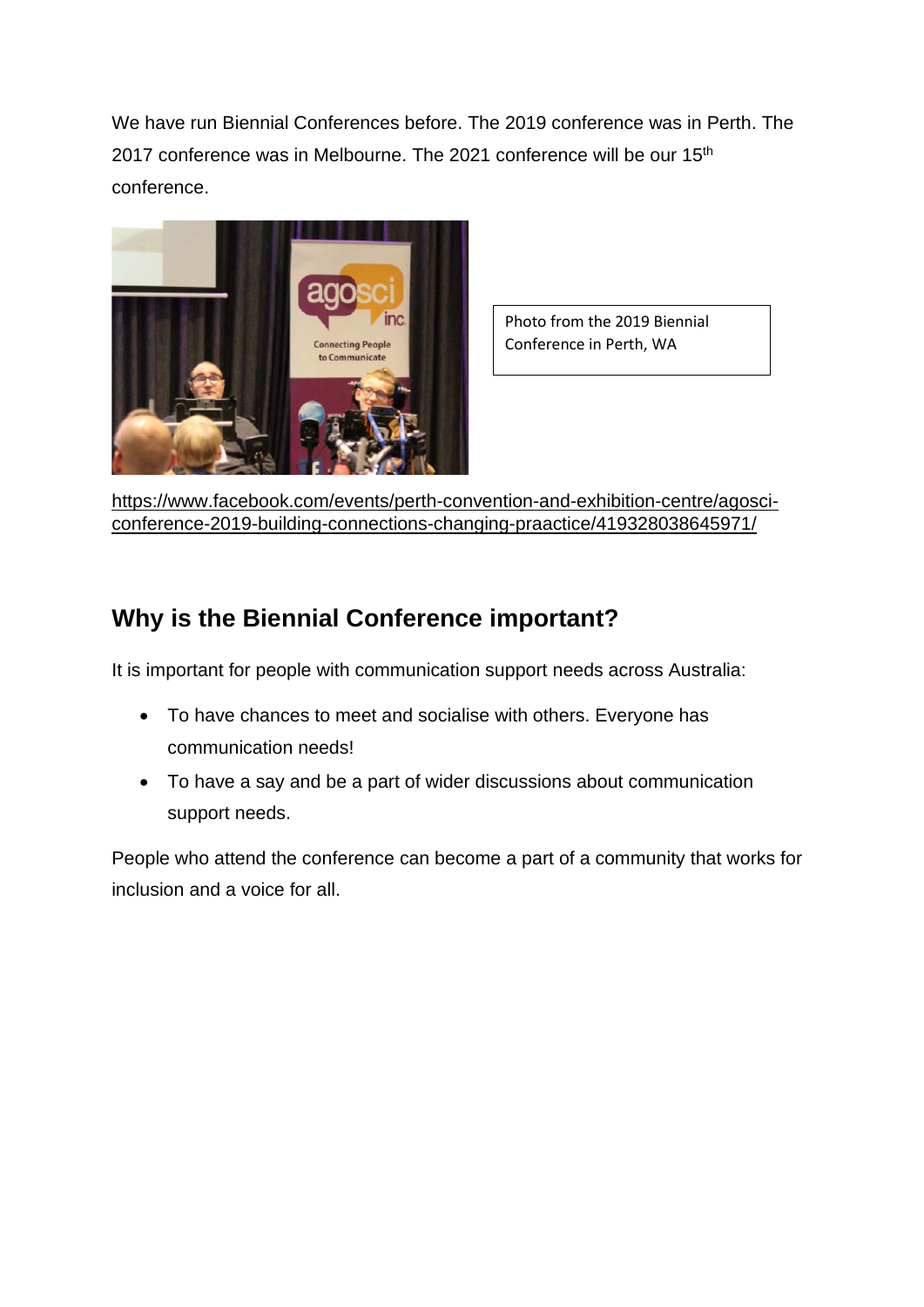We have run Biennial Conferences before. The 2019 conference was in Perth. The 2017 conference was in Melbourne. The 2021 conference will be our 15<sup>th</sup> conference.



Photo from the 2019 Biennial Conference in Perth, WA

[https://www.facebook.com/events/perth-convention-and-exhibition-centre/agosci](https://www.facebook.com/events/perth-convention-and-exhibition-centre/agosci-conference-2019-building-connections-changing-praactice/419328038645971/)[conference-2019-building-connections-changing-praactice/419328038645971/](https://www.facebook.com/events/perth-convention-and-exhibition-centre/agosci-conference-2019-building-connections-changing-praactice/419328038645971/)

## **Why is the Biennial Conference important?**

It is important for people with communication support needs across Australia:

- To have chances to meet and socialise with others. Everyone has communication needs!
- To have a say and be a part of wider discussions about communication support needs.

People who attend the conference can become a part of a community that works for inclusion and a voice for all.